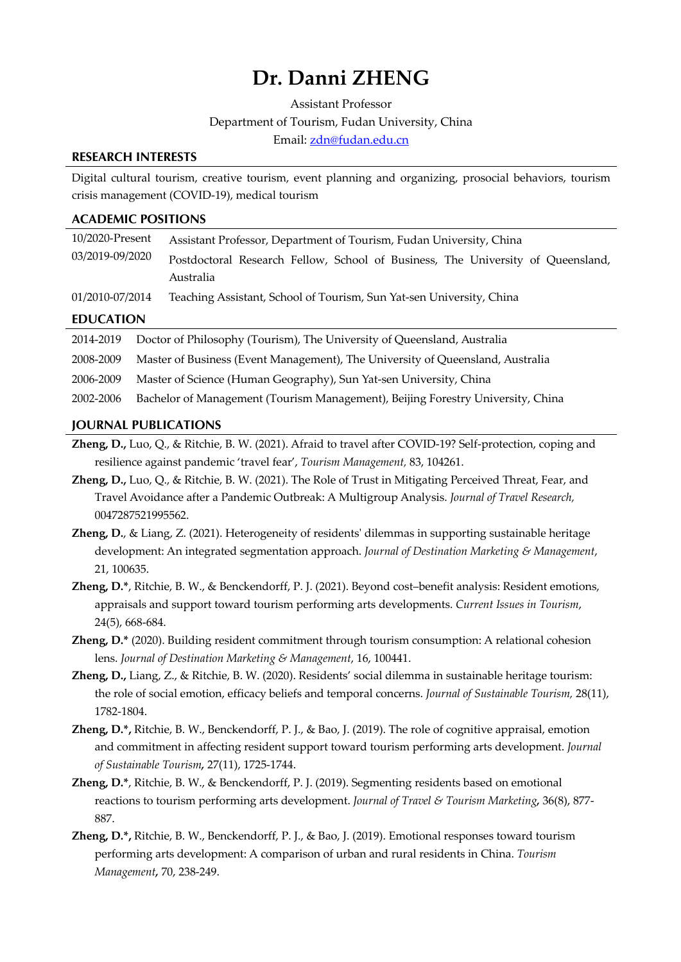# **Dr. Danni ZHENG**

Assistant Professor Department of Tourism, Fudan University, China Email: zdn@fudan.edu.cn

### **RESEARCH INTERESTS**

Digital cultural tourism, creative tourism, event planning and organizing, prosocial behaviors, tourism crisis management (COVID-19), medical tourism

# **ACADEMIC POSITIONS**

| 10/2020-Present  | Assistant Professor, Department of Tourism, Fudan University, China             |
|------------------|---------------------------------------------------------------------------------|
| 03/2019-09/2020  | Postdoctoral Research Fellow, School of Business, The University of Queensland, |
|                  | Australia                                                                       |
| 01/2010-07/2014  | Teaching Assistant, School of Tourism, Sun Yat-sen University, China            |
| <b>EDUCATION</b> |                                                                                 |
| 2014-2019        | Doctor of Philosophy (Tourism), The University of Queensland, Australia         |

2008-2009 Master of Business (Event Management), The University of Queensland, Australia

- 2006-2009 Master of Science (Human Geography), Sun Yat-sen University, China
- 2002-2006 Bachelor of Management (Tourism Management), Beijing Forestry University, China

#### **JOURNAL PUBLICATIONS**

**Zheng, D.,** Luo, Q., & Ritchie, B. W. (2021). Afraid to travel after COVID-19? Self-protection, coping and resilience against pandemic 'travel fear', *Tourism Management,* 83, 104261.

**Zheng, D.,** Luo, Q., & Ritchie, B. W. (2021). The Role of Trust in Mitigating Perceived Threat, Fear, and Travel Avoidance after a Pandemic Outbreak: A Multigroup Analysis. *Journal of Travel Research,* 0047287521995562.

**Zheng, D.**, & Liang, Z. (2021). Heterogeneity of residents' dilemmas in supporting sustainable heritage development: An integrated segmentation approach. *Journal of Destination Marketing & Management*, 21, 100635.

**Zheng, D.\***, Ritchie, B. W., & Benckendorff, P. J. (2021). Beyond cost–benefit analysis: Resident emotions, appraisals and support toward tourism performing arts developments. *Current Issues in Tourism*, 24(5), 668-684.

**Zheng, D.\*** (2020). Building resident commitment through tourism consumption: A relational cohesion lens. *Journal of Destination Marketing & Management*, 16, 100441.

**Zheng, D.,** Liang, Z., & Ritchie, B. W. (2020). Residents' social dilemma in sustainable heritage tourism: the role of social emotion, efficacy beliefs and temporal concerns. *Journal of Sustainable Tourism,* 28(11), 1782-1804.

**Zheng, D.\*,** Ritchie, B. W., Benckendorff, P. J., & Bao, J. (2019). The role of cognitive appraisal, emotion and commitment in affecting resident support toward tourism performing arts development. *Journal of Sustainable Tourism,* 27(11), 1725-1744.

**Zheng, D.\***, Ritchie, B. W., & Benckendorff, P. J. (2019). Segmenting residents based on emotional reactions to tourism performing arts development. *Journal of Travel & Tourism Marketing,* 36(8), 877- 887.

**Zheng, D.\*,** Ritchie, B. W., Benckendorff, P. J., & Bao, J. (2019). Emotional responses toward tourism performing arts development: A comparison of urban and rural residents in China. *Tourism Management,* 70, 238-249.